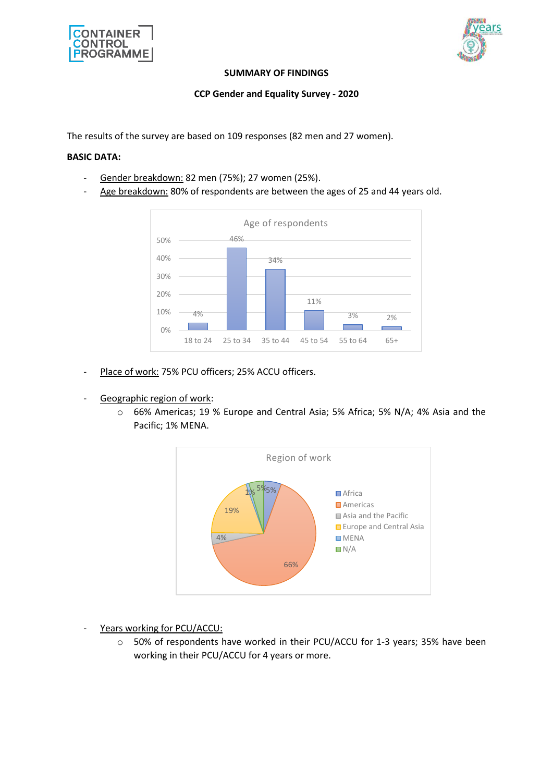



#### **SUMMARY OF FINDINGS**

## **CCP Gender and Equality Survey - 2020**

The results of the survey are based on 109 responses (82 men and 27 women).

### **BASIC DATA:**

- Gender breakdown: 82 men (75%); 27 women (25%).
- Age breakdown: 80% of respondents are between the ages of 25 and 44 years old.



- Place of work: 75% PCU officers; 25% ACCU officers.
- Geographic region of work:
	- o 66% Americas; 19 % Europe and Central Asia; 5% Africa; 5% N/A; 4% Asia and the Pacific; 1% MENA.



- Years working for PCU/ACCU:
	- o 50% of respondents have worked in their PCU/ACCU for 1-3 years; 35% have been working in their PCU/ACCU for 4 years or more.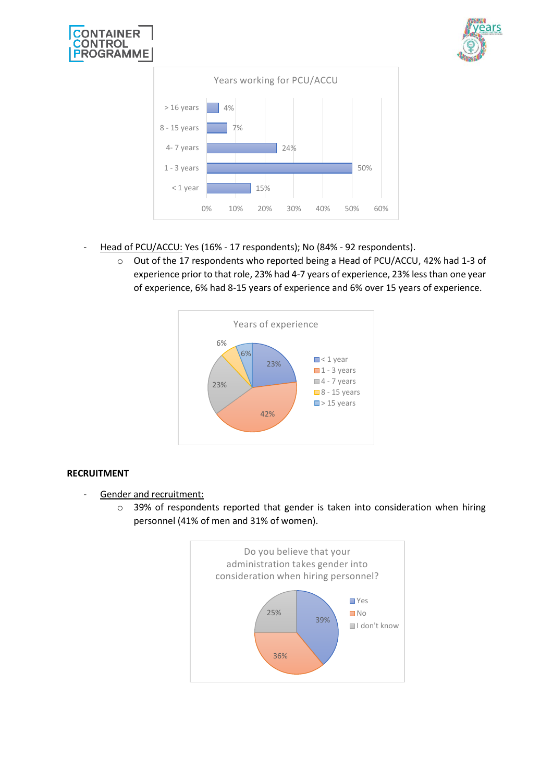





- Head of PCU/ACCU: Yes (16% 17 respondents); No (84% 92 respondents).
	- o Out of the 17 respondents who reported being a Head of PCU/ACCU, 42% had 1-3 of experience prior to that role, 23% had 4-7 years of experience, 23% less than one year of experience, 6% had 8-15 years of experience and 6% over 15 years of experience.



# **RECRUITMENT**

- Gender and recruitment:
	- o 39% of respondents reported that gender is taken into consideration when hiring personnel (41% of men and 31% of women).

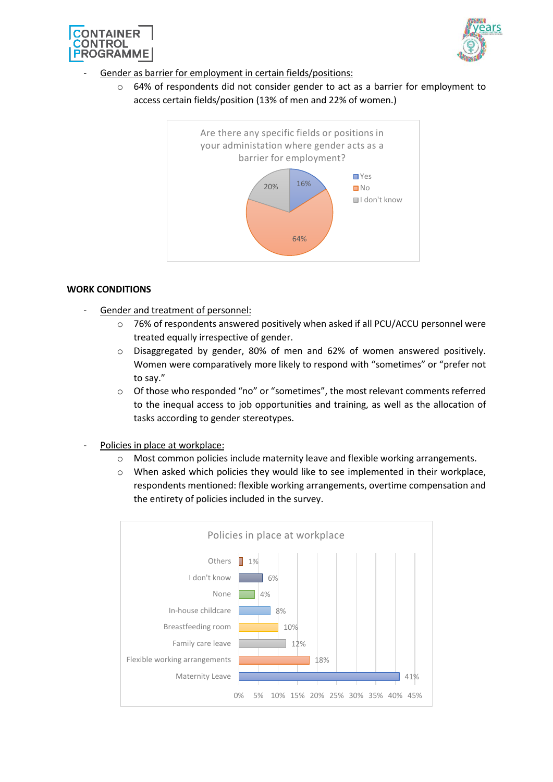



- Gender as barrier for employment in certain fields/positions:
	- o 64% of respondents did not consider gender to act as a barrier for employment to access certain fields/position (13% of men and 22% of women.)



#### **WORK CONDITIONS**

- Gender and treatment of personnel:
	- o 76% of respondents answered positively when asked if all PCU/ACCU personnel were treated equally irrespective of gender.
	- o Disaggregated by gender, 80% of men and 62% of women answered positively. Women were comparatively more likely to respond with "sometimes" or "prefer not to say."
	- o Of those who responded "no" or "sometimes", the most relevant comments referred to the inequal access to job opportunities and training, as well as the allocation of tasks according to gender stereotypes.
- Policies in place at workplace:
	- o Most common policies include maternity leave and flexible working arrangements.
	- o When asked which policies they would like to see implemented in their workplace, respondents mentioned: flexible working arrangements, overtime compensation and the entirety of policies included in the survey.

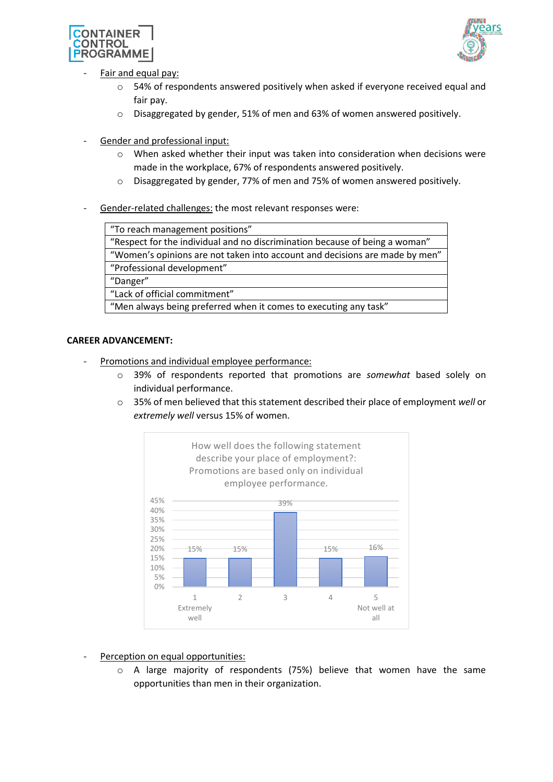



- Fair and equal pay:
	- o 54% of respondents answered positively when asked if everyone received equal and fair pay.
	- o Disaggregated by gender, 51% of men and 63% of women answered positively.
- Gender and professional input:
	- o When asked whether their input was taken into consideration when decisions were made in the workplace, 67% of respondents answered positively.
	- o Disaggregated by gender, 77% of men and 75% of women answered positively.
- Gender-related challenges: the most relevant responses were:

"To reach management positions"

"Respect for the individual and no discrimination because of being a woman"

"Women's opinions are not taken into account and decisions are made by men"

"Professional development"

"Danger"

"Lack of official commitment"

"Men always being preferred when it comes to executing any task"

## **CAREER ADVANCEMENT:**

- Promotions and individual employee performance:
	- o 39% of respondents reported that promotions are *somewhat* based solely on individual performance.
	- o 35% of men believed that this statement described their place of employment *well* or *extremely well* versus 15% of women.



Perception on equal opportunities:

 $\circ$  A large majority of respondents (75%) believe that women have the same opportunities than men in their organization.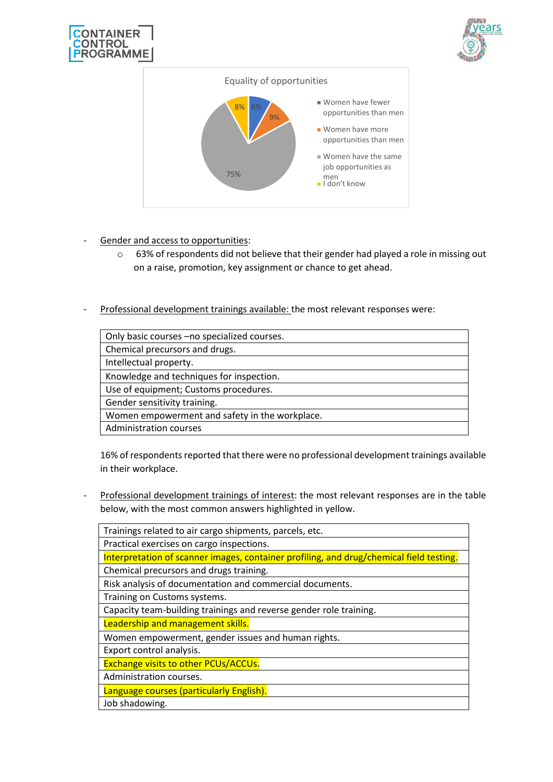![](_page_4_Picture_0.jpeg)

![](_page_4_Picture_1.jpeg)

![](_page_4_Figure_2.jpeg)

- Gender and access to opportunities:
	- o 63% of respondents did not believe that their gender had played a role in missing out on a raise, promotion, key assignment or chance to get ahead.
- Professional development trainings available: the most relevant responses were:

| Only basic courses -no specialized courses.    |
|------------------------------------------------|
| Chemical precursors and drugs.                 |
| Intellectual property.                         |
| Knowledge and techniques for inspection.       |
| Use of equipment; Customs procedures.          |
| Gender sensitivity training.                   |
| Women empowerment and safety in the workplace. |
| Administration courses                         |
|                                                |

16% of respondents reported that there were no professional development trainings available in their workplace.

Professional development trainings of interest: the most relevant responses are in the table below, with the most common answers highlighted in yellow.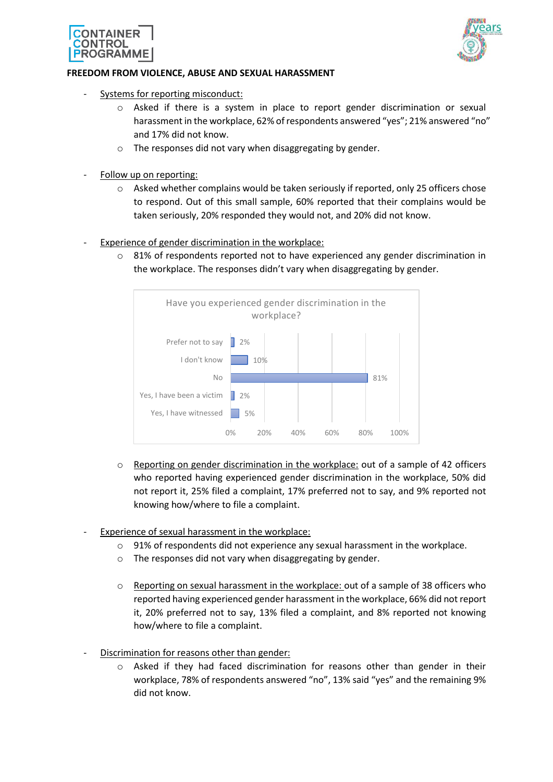![](_page_5_Picture_0.jpeg)

![](_page_5_Picture_1.jpeg)

#### **FREEDOM FROM VIOLENCE, ABUSE AND SEXUAL HARASSMENT**

- Systems for reporting misconduct:
	- o Asked if there is a system in place to report gender discrimination or sexual harassment in the workplace, 62% of respondents answered "yes"; 21% answered "no" and 17% did not know.
	- o The responses did not vary when disaggregating by gender.
- Follow up on reporting:
	- o Asked whether complains would be taken seriously if reported, only 25 officers chose to respond. Out of this small sample, 60% reported that their complains would be taken seriously, 20% responded they would not, and 20% did not know.
- Experience of gender discrimination in the workplace:
	- $\circ$  81% of respondents reported not to have experienced any gender discrimination in the workplace. The responses didn't vary when disaggregating by gender.

![](_page_5_Figure_10.jpeg)

- o Reporting on gender discrimination in the workplace: out of a sample of 42 officers who reported having experienced gender discrimination in the workplace, 50% did not report it, 25% filed a complaint, 17% preferred not to say, and 9% reported not knowing how/where to file a complaint.
- Experience of sexual harassment in the workplace:
	- o 91% of respondents did not experience any sexual harassment in the workplace.
	- o The responses did not vary when disaggregating by gender.
	- o Reporting on sexual harassment in the workplace: out of a sample of 38 officers who reported having experienced gender harassment in the workplace, 66% did not report it, 20% preferred not to say, 13% filed a complaint, and 8% reported not knowing how/where to file a complaint.
- Discrimination for reasons other than gender:
	- $\circ$  Asked if they had faced discrimination for reasons other than gender in their workplace, 78% of respondents answered "no", 13% said "yes" and the remaining 9% did not know.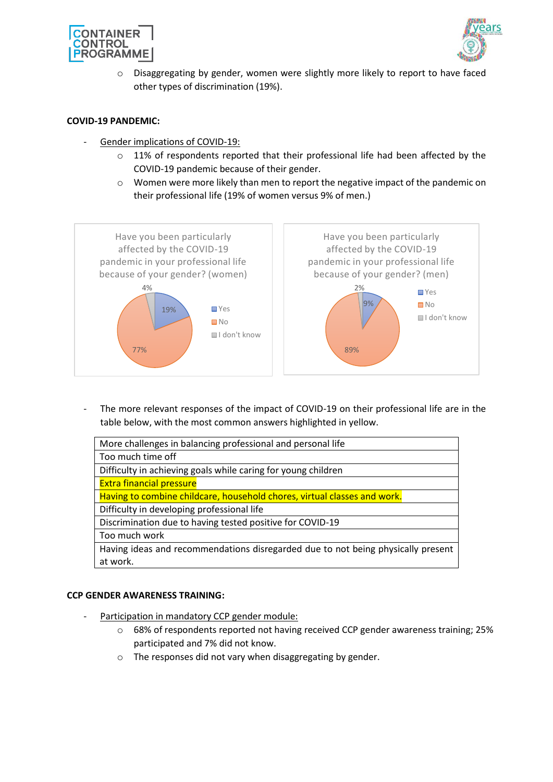![](_page_6_Picture_0.jpeg)

![](_page_6_Picture_1.jpeg)

 $\circ$  Disaggregating by gender, women were slightly more likely to report to have faced other types of discrimination (19%).

### **COVID-19 PANDEMIC:**

- Gender implications of COVID-19:
	- $\circ$  11% of respondents reported that their professional life had been affected by the COVID-19 pandemic because of their gender.
	- o Women were more likely than men to report the negative impact of the pandemic on their professional life (19% of women versus 9% of men.)

![](_page_6_Figure_7.jpeg)

The more relevant responses of the impact of COVID-19 on their professional life are in the table below, with the most common answers highlighted in yellow.

| More challenges in balancing professional and personal life                      |
|----------------------------------------------------------------------------------|
| Too much time off                                                                |
| Difficulty in achieving goals while caring for young children                    |
| <b>Extra financial pressure</b>                                                  |
| Having to combine childcare, household chores, virtual classes and work.         |
| Difficulty in developing professional life                                       |
| Discrimination due to having tested positive for COVID-19                        |
| Too much work                                                                    |
| Having ideas and recommendations disregarded due to not being physically present |
| at work.                                                                         |

#### **CCP GENDER AWARENESS TRAINING:**

- Participation in mandatory CCP gender module:
	- $\circ$  68% of respondents reported not having received CCP gender awareness training; 25% participated and 7% did not know.
	- o The responses did not vary when disaggregating by gender.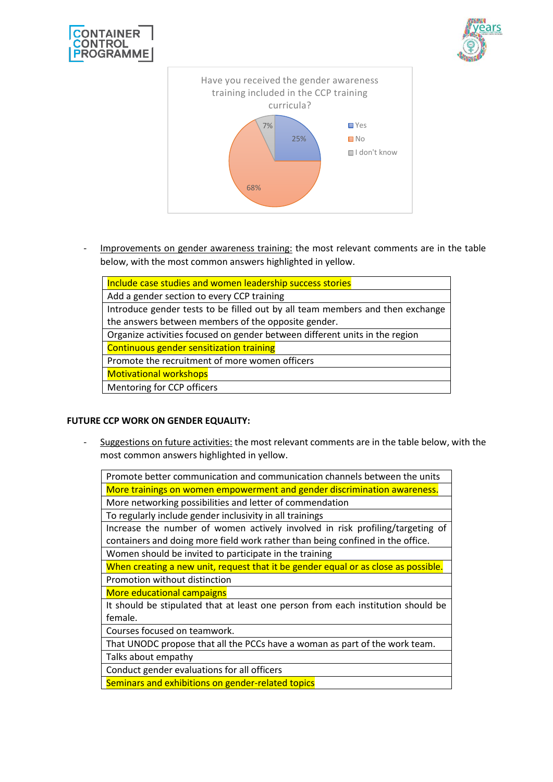![](_page_7_Picture_0.jpeg)

![](_page_7_Picture_1.jpeg)

![](_page_7_Figure_2.jpeg)

- Improvements on gender awareness training: the most relevant comments are in the table below, with the most common answers highlighted in yellow.

| Include case studies and women leadership success stories                     |
|-------------------------------------------------------------------------------|
|                                                                               |
| Add a gender section to every CCP training                                    |
| Introduce gender tests to be filled out by all team members and then exchange |
| the answers between members of the opposite gender.                           |
| Organize activities focused on gender between different units in the region   |
| <b>Continuous gender sensitization training</b>                               |
| Promote the recruitment of more women officers                                |
| <b>Motivational workshops</b>                                                 |
| Mentoring for CCP officers                                                    |

## **FUTURE CCP WORK ON GENDER EQUALITY:**

- Suggestions on future activities: the most relevant comments are in the table below, with the most common answers highlighted in yellow.

| Promote better communication and communication channels between the units          |
|------------------------------------------------------------------------------------|
| More trainings on women empowerment and gender discrimination awareness.           |
| More networking possibilities and letter of commendation                           |
| To regularly include gender inclusivity in all trainings                           |
| Increase the number of women actively involved in risk profiling/targeting of      |
| containers and doing more field work rather than being confined in the office.     |
| Women should be invited to participate in the training                             |
| When creating a new unit, request that it be gender equal or as close as possible. |
| Promotion without distinction                                                      |
| More educational campaigns                                                         |
| It should be stipulated that at least one person from each institution should be   |
| female.                                                                            |
| Courses focused on teamwork.                                                       |
| That UNODC propose that all the PCCs have a woman as part of the work team.        |
| Talks about empathy                                                                |
| Conduct gender evaluations for all officers                                        |
| Seminars and exhibitions on gender-related topics                                  |